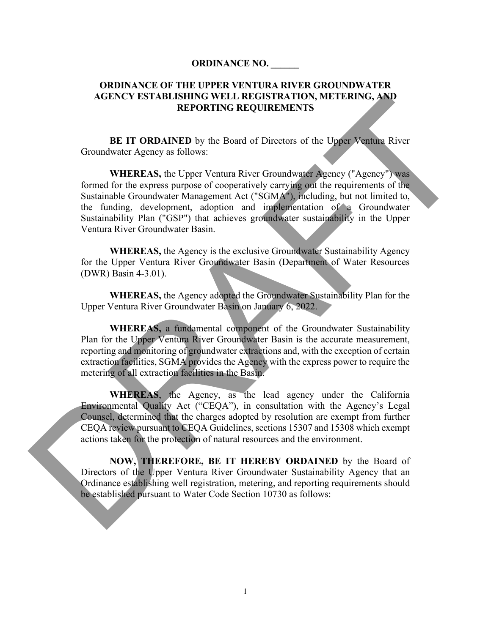### **ORDINANCE NO. \_\_\_\_\_\_**

## **ORDINANCE OF THE UPPER VENTURA RIVER GROUNDWATER AGENCY ESTABLISHING WELL REGISTRATION, METERING, AND REPORTING REQUIREMENTS**

**BE IT ORDAINED** by the Board of Directors of the Upper Ventura River Groundwater Agency as follows:

**WHEREAS,** the Upper Ventura River Groundwater Agency ("Agency") was formed for the express purpose of cooperatively carrying out the requirements of the Sustainable Groundwater Management Act ("SGMA"), including, but not limited to, the funding, development, adoption and implementation of a Groundwater Sustainability Plan ("GSP") that achieves groundwater sustainability in the Upper Ventura River Groundwater Basin. AGENCY ESTABLING WIELD REGISTRATION, METERING, AND<br>
REPORTING REQUIREMENTS.<br>
BEPORTING REQUIREMENTS<br>
BEPORTING REQUIREMENTS<br>
THEREAS, the Upper Ventura River Groundwater Agency as follows:<br>
WHEREAS, the Upper Ventura Rive

**WHEREAS,** the Agency is the exclusive Groundwater Sustainability Agency for the Upper Ventura River Groundwater Basin (Department of Water Resources (DWR) Basin 4-3.01).

**WHEREAS,** the Agency adopted the Groundwater Sustainability Plan for the Upper Ventura River Groundwater Basin on January 6, 2022.

**WHEREAS,** a fundamental component of the Groundwater Sustainability Plan for the Upper Ventura River Groundwater Basin is the accurate measurement, reporting and monitoring of groundwater extractions and, with the exception of certain extraction facilities, SGMA provides the Agency with the express power to require the metering of all extraction facilities in the Basin.

**WHEREAS**, the Agency, as the lead agency under the California Environmental Quality Act ("CEQA"), in consultation with the Agency's Legal Counsel, determined that the charges adopted by resolution are exempt from further CEQA review pursuant to CEQA Guidelines, sections 15307 and 15308 which exempt actions taken for the protection of natural resources and the environment.

**NOW, THEREFORE, BE IT HEREBY ORDAINED** by the Board of Directors of the Upper Ventura River Groundwater Sustainability Agency that an Ordinance establishing well registration, metering, and reporting requirements should be established pursuant to Water Code Section 10730 as follows: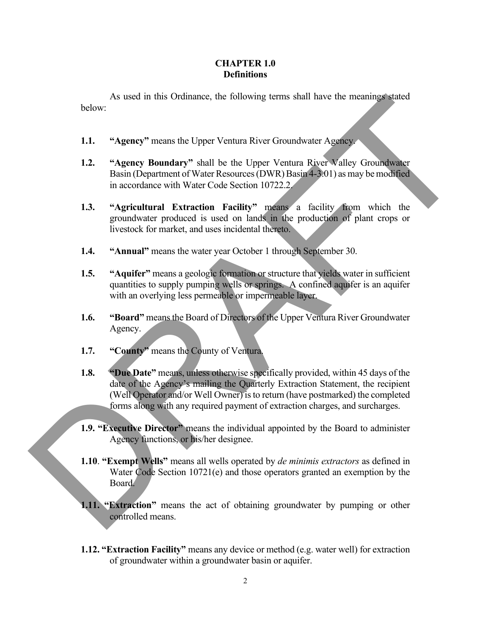## **CHAPTER 1.0 Definitions**

As used in this Ordinance, the following terms shall have the meanings stated below:

- **1.1. "Agency"** means the Upper Ventura River Groundwater Agency.
- **1.2. "Agency Boundary"** shall be the Upper Ventura River Valley Groundwater Basin (Department of Water Resources (DWR) Basin 4-3.01) as may be modified in accordance with Water Code Section 10722.2.
- **1.3. "Agricultural Extraction Facility"** means a facility from which the groundwater produced is used on lands in the production of plant crops or livestock for market, and uses incidental thereto.
- **1.4. "Annual"** means the water year October 1 through September 30.
- **1.5. "Aquifer"** means a geologic formation or structure that yields water in sufficient quantities to supply pumping wells or springs. A confined aquifer is an aquifer with an overlying less permeable or impermeable layer.
- **1.6. "Board"** means the Board of Directors of the Upper Ventura River Groundwater Agency.
- **1.7. "County"** means the County of Ventura.
- **1.8. "Due Date"** means, unless otherwise specifically provided, within 45 days of the date of the Agency's mailing the Quarterly Extraction Statement, the recipient (Well Operator and/or Well Owner) is to return (have postmarked) the completed forms along with any required payment of extraction charges, and surcharges. As used in this Ordinance, the following terms shall have the meanings stated<br>
1.1. "Agency" means the Upper Ventura River (roundwater Agency<br>
1.2. "Agency Boundary" shall be the Upper Ventura River willey Graundwaler<br>
Ha
	- **1.9. "Executive Director"** means the individual appointed by the Board to administer Agency functions, or his/her designee.
	- **1.10**. **"Exempt Wells"** means all wells operated by *de minimis extractors* as defined in Water Code Section 10721(e) and those operators granted an exemption by the Board.
	- **1.11.** "Extraction" means the act of obtaining groundwater by pumping or other controlled means.
	- **1.12. "Extraction Facility"** means any device or method (e.g. water well) for extraction of groundwater within a groundwater basin or aquifer.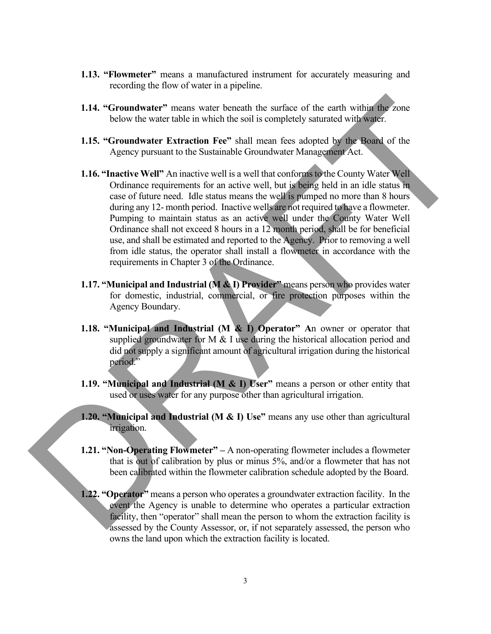- **1.13. "Flowmeter"** means a manufactured instrument for accurately measuring and recording the flow of water in a pipeline.
- **1.14. "Groundwater"** means water beneath the surface of the earth within the zone below the water table in which the soil is completely saturated with water.
- **1.15. "Groundwater Extraction Fee"** shall mean fees adopted by the Board of the Agency pursuant to the Sustainable Groundwater Management Act.
- **1.16. "Inactive Well"** An inactive well is a well that conforms to the County Water Well Ordinance requirements for an active well, but is being held in an idle status in case of future need. Idle status means the well is pumped no more than 8 hours during any 12- month period. Inactive wells are not required to have a flowmeter. Pumping to maintain status as an active well under the County Water Well Ordinance shall not exceed 8 hours in a 12 month period, shall be for beneficial use, and shall be estimated and reported to the Agency. Prior to removing a well from idle status, the operator shall install a flowmeter in accordance with the requirements in Chapter 3 of the Ordinance. 1.14. "Groundwater" means ware beneath the surface of the earth within the zone<br>below the water table in which the soli is completely summed with water.<br>
1.15. "Croundwater Neutrication Fee" what mean fees adopted by the
	- **1.17. "Municipal and Industrial (M & I) Provider"** means person who provides water for domestic, industrial, commercial, or fire protection purposes within the Agency Boundary.
	- **1.18. "Municipal and Industrial (M & I) Operator" A**n owner or operator that supplied groundwater for M & I use during the historical allocation period and did not supply a significant amount of agricultural irrigation during the historical period."
	- **1.19. "Municipal and Industrial (M & I) User"** means a person or other entity that used or uses water for any purpose other than agricultural irrigation.
	- **1.20. "Municipal and Industrial (M & I) Use"** means any use other than agricultural irrigation.
	- **1.21. "Non-Operating Flowmeter"** A non-operating flowmeter includes a flowmeter that is out of calibration by plus or minus 5%, and/or a flowmeter that has not been calibrated within the flowmeter calibration schedule adopted by the Board.
	- **1.22. "Operator"** means a person who operates a groundwater extraction facility. In the event the Agency is unable to determine who operates a particular extraction facility, then "operator" shall mean the person to whom the extraction facility is assessed by the County Assessor, or, if not separately assessed, the person who owns the land upon which the extraction facility is located.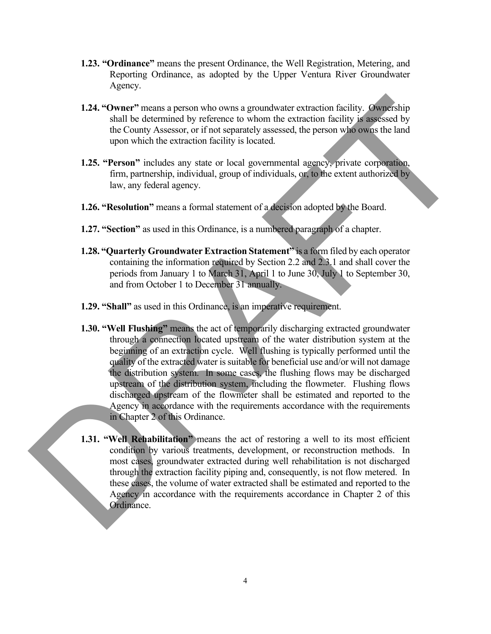- **1.23. "Ordinance"** means the present Ordinance, the Well Registration, Metering, and Reporting Ordinance, as adopted by the Upper Ventura River Groundwater Agency.
- **1.24. "Owner"** means a person who owns a groundwater extraction facility. Ownership shall be determined by reference to whom the extraction facility is assessed by the County Assessor, or if not separately assessed, the person who owns the land upon which the extraction facility is located.
- **1.25. "Person"** includes any state or local governmental agency, private corporation, firm, partnership, individual, group of individuals, or, to the extent authorized by law, any federal agency.
- **1.26. "Resolution"** means a formal statement of a decision adopted by the Board.
- **1.27. "Section"** as used in this Ordinance, is a numbered paragraph of a chapter.
- **1.28. "Quarterly Groundwater Extraction Statement"** is a form filed by each operator containing the information required by Section 2.2 and 2.3.1 and shall cover the periods from January 1 to March 31, April 1 to June 30, July 1 to September 30, and from October 1 to December 31 annually.
- **1.29. "Shall"** as used in this Ordinance, is an imperative requirement.
- **1.30. "Well Flushing"** means the act of temporarily discharging extracted groundwater through a connection located upstream of the water distribution system at the beginning of an extraction cycle. Well flushing is typically performed until the quality of the extracted water is suitable for beneficial use and/or will not damage the distribution system. In some cases, the flushing flows may be discharged upstream of the distribution system, including the flowmeter. Flushing flows discharged upstream of the flowmeter shall be estimated and reported to the Agency in accordance with the requirements accordance with the requirements in Chapter 2 of this Ordinance. 1.24. "Owner" means a person who owns a geometroscretion facility. Ownership<br>solal be determined by effection to high the company of solar control in the company sessor, or if not separately sesses<br>of, the person wise owe
	- **1.31. "Well Rehabilitation"** means the act of restoring a well to its most efficient condition by various treatments, development, or reconstruction methods. In most cases, groundwater extracted during well rehabilitation is not discharged through the extraction facility piping and, consequently, is not flow metered. In these cases, the volume of water extracted shall be estimated and reported to the Agency in accordance with the requirements accordance in Chapter 2 of this Ordinance.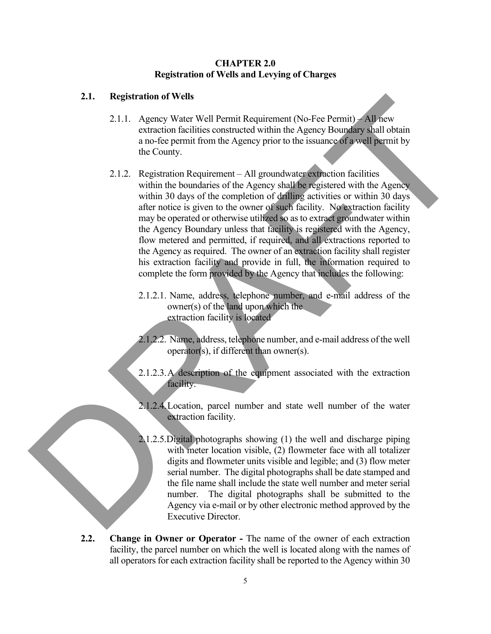### **CHAPTER 2.0 Registration of Wells and Levying of Charges**

### **2.1. Registration of Wells**

- 2.1.1. Agency Water Well Permit Requirement (No-Fee Permit) All new extraction facilities constructed within the Agency Boundary shall obtain a no-fee permit from the Agency prior to the issuance of a well permit by the County.
- 2.1.2. Registration Requirement All groundwater extraction facilities within the boundaries of the Agency shall be registered with the Agency within 30 days of the completion of drilling activities or within 30 days after notice is given to the owner of such facility. No extraction facility may be operated or otherwise utilized so as to extract groundwater within the Agency Boundary unless that facility is registered with the Agency, flow metered and permitted, if required, and all extractions reported to the Agency as required. The owner of an extraction facility shall register his extraction facility and provide in full, the information required to complete the form provided by the Agency that includes the following: 2.1. Registration of Wells<br>
2.1.1. Agros Water Well Permit Requirement (No-Fee Permit) All please<br>
2.1.1. Agros Water Well Permit first agros prior to the issues of sweet Bennefits by the Community and Separation Registra
	- 2.1.2.1. Name, address, telephone number, and e-mail address of the owner(s) of the land upon which the extraction facility is located
	- 2.1.2.2. Name, address, telephone number, and e-mail address of the well operator(s), if different than owner(s).
	- 2.1.2.3.A description of the equipment associated with the extraction facility.
	- 2.1.2.4.Location, parcel number and state well number of the water extraction facility.
	- 2.1.2.5.Digital photographs showing (1) the well and discharge piping with meter location visible, (2) flowmeter face with all totalizer digits and flowmeter units visible and legible; and (3) flow meter serial number. The digital photographs shall be date stamped and the file name shall include the state well number and meter serial number. The digital photographs shall be submitted to the Agency via e-mail or by other electronic method approved by the Executive Director.
	- **2.2. Change in Owner or Operator** The name of the owner of each extraction facility, the parcel number on which the well is located along with the names of all operators for each extraction facility shall be reported to the Agency within 30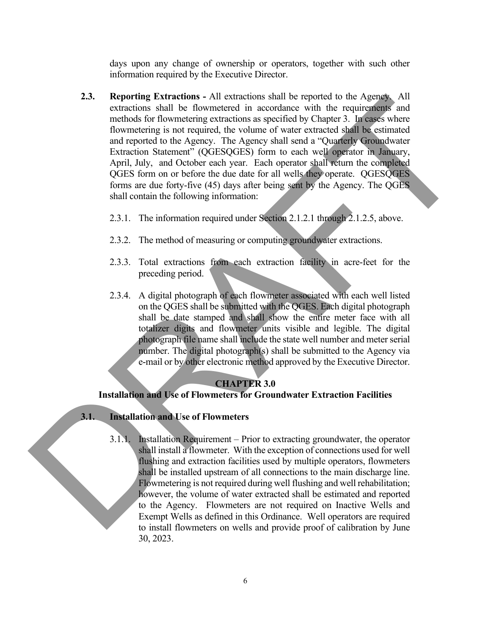days upon any change of ownership or operators, together with such other information required by the Executive Director.

- **2.3. Reporting Extractions** All extractions shall be reported to the Agency. All extractions shall be flowmetered in accordance with the requirements and methods for flowmetering extractions as specified by Chapter 3. In cases where flowmetering is not required, the volume of water extracted shall be estimated and reported to the Agency. The Agency shall send a "Quarterly Groundwater Extraction Statement" (QGESQGES) form to each well operator in January, April, July, and October each year. Each operator shall return the completed QGES form on or before the due date for all wells they operate. QGESQGES forms are due forty-five (45) days after being sent by the Agency. The QGES shall contain the following information: 2.3. Reporting Extractions - All extractions shall be reported to the Agenda contributions shall be the method of the system of the system of the system of methods of the method of the system of the method of the system o
	- 2.3.1. The information required under Section 2.1.2.1 through 2.1.2.5, above.
	- 2.3.2. The method of measuring or computing groundwater extractions.
	- 2.3.3. Total extractions from each extraction facility in acre-feet for the preceding period.
	- 2.3.4. A digital photograph of each flowmeter associated with each well listed on the QGES shall be submitted with the QGES. Each digital photograph shall be date stamped and shall show the entire meter face with all totalizer digits and flowmeter units visible and legible. The digital photograph file name shall include the state well number and meter serial number. The digital photograph(s) shall be submitted to the Agency via e-mail or by other electronic method approved by the Executive Director.

### **CHAPTER 3.0**

## **Installation and Use of Flowmeters for Groundwater Extraction Facilities**

#### **3.1. Installation and Use of Flowmeters**

3.1.1. Installation Requirement – Prior to extracting groundwater, the operator shall install a flowmeter. With the exception of connections used for well flushing and extraction facilities used by multiple operators, flowmeters shall be installed upstream of all connections to the main discharge line. Flowmetering is not required during well flushing and well rehabilitation; however, the volume of water extracted shall be estimated and reported to the Agency. Flowmeters are not required on Inactive Wells and Exempt Wells as defined in this Ordinance. Well operators are required to install flowmeters on wells and provide proof of calibration by June 30, 2023.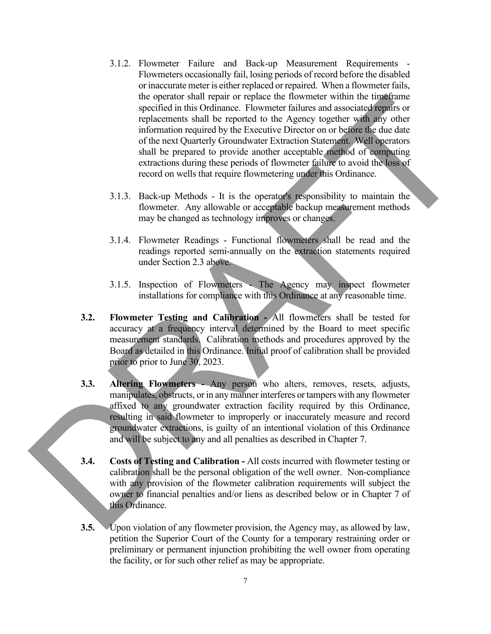- 3.1.2. Flowmeter Failure and Back-up Measurement Requirements Flowmeters occasionally fail, losing periods of record before the disabled or inaccurate meter is either replaced or repaired. When a flowmeter fails, the operator shall repair or replace the flowmeter within the timeframe specified in this Ordinance. Flowmeter failures and associated repairs or replacements shall be reported to the Agency together with any other information required by the Executive Director on or before the due date of the next Quarterly Groundwater Extraction Statement. Well operators shall be prepared to provide another acceptable method of computing extractions during these periods of flowmeter failure to avoid the loss of record on wells that require flowmetering under this Ordinance. the operator shall be propriate to forward the underline and the interference contents and a societization of the Appley by the contents and the spectra of the Appley by the propriate of the set of the set of the set of t
	- 3.1.3. Back-up Methods It is the operator's responsibility to maintain the flowmeter. Any allowable or acceptable backup measurement methods may be changed as technology improves or changes.
	- 3.1.4. Flowmeter Readings Functional flowmeters shall be read and the readings reported semi-annually on the extraction statements required under Section 2.3 above.
	- 3.1.5. Inspection of Flowmeters The Agency may inspect flowmeter installations for compliance with this Ordinance at any reasonable time.
	- **3.2. Flowmeter Testing and Calibration** All flowmeters shall be tested for accuracy at a frequency interval determined by the Board to meet specific measurement standards. Calibration methods and procedures approved by the Board as detailed in this Ordinance. Initial proof of calibration shall be provided prior to prior to June 30, 2023.
	- **3.3. Altering Flowmeters** Any person who alters, removes, resets, adjusts, manipulates, obstructs, or in any manner interferes or tampers with any flowmeter affixed to any groundwater extraction facility required by this Ordinance, resulting in said flowmeter to improperly or inaccurately measure and record groundwater extractions, is guilty of an intentional violation of this Ordinance and will be subject to any and all penalties as described in Chapter 7.
	- **3.4. Costs of Testing and Calibration** All costs incurred with flowmeter testing or calibration shall be the personal obligation of the well owner. Non-compliance with any provision of the flowmeter calibration requirements will subject the owner to financial penalties and/or liens as described below or in Chapter 7 of this Ordinance.
	- **3.5.** Upon violation of any flowmeter provision, the Agency may, as allowed by law, petition the Superior Court of the County for a temporary restraining order or preliminary or permanent injunction prohibiting the well owner from operating the facility, or for such other relief as may be appropriate.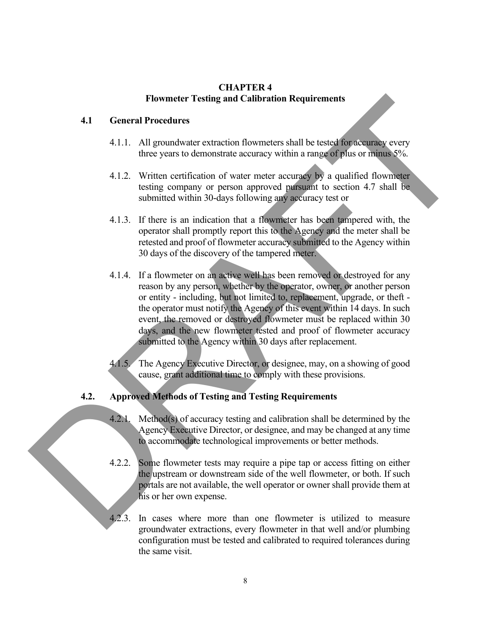## **CHAPTER 4 Flowmeter Testing and Calibration Requirements**

# **4.1 General Procedures**

- 4.1.1. All groundwater extraction flowmeters shall be tested for accuracy every three years to demonstrate accuracy within a range of plus or minus 5%.
- 4.1.2. Written certification of water meter accuracy by a qualified flowmeter testing company or person approved pursuant to section 4.7 shall be submitted within 30-days following any accuracy test or
- 4.1.3. If there is an indication that a flowmeter has been tampered with, the operator shall promptly report this to the Agency and the meter shall be retested and proof of flowmeter accuracy submitted to the Agency within 30 days of the discovery of the tampered meter.
- 4.1.4. If a flowmeter on an active well has been removed or destroyed for any reason by any person, whether by the operator, owner, or another person or entity - including, but not limited to, replacement, upgrade, or theft the operator must notify the Agency of this event within 14 days. In such event, the removed or destroyed flowmeter must be replaced within 30 days, and the new flowmeter tested and proof of flowmeter accuracy submitted to the Agency within 30 days after replacement. **Example 19** Formula Calibration Requirements<br>
4.1.1 General Procedures<br>
4.1.1 all grands active correction flowments shall be tasted from comparing vectors<br>
4.1.2. Written cerrification of water meter accuracy we a quali
	- 4.1.5. The Agency Executive Director, or designee, may, on a showing of good cause, grant additional time to comply with these provisions.

# **4.2. Approved Methods of Testing and Testing Requirements**

- 4.2.1. Method(s) of accuracy testing and calibration shall be determined by the Agency Executive Director, or designee, and may be changed at any time to accommodate technological improvements or better methods.
- 4.2.2. Some flowmeter tests may require a pipe tap or access fitting on either the upstream or downstream side of the well flowmeter, or both. If such portals are not available, the well operator or owner shall provide them at his or her own expense.
- 4.2.3. In cases where more than one flowmeter is utilized to measure groundwater extractions, every flowmeter in that well and/or plumbing configuration must be tested and calibrated to required tolerances during the same visit.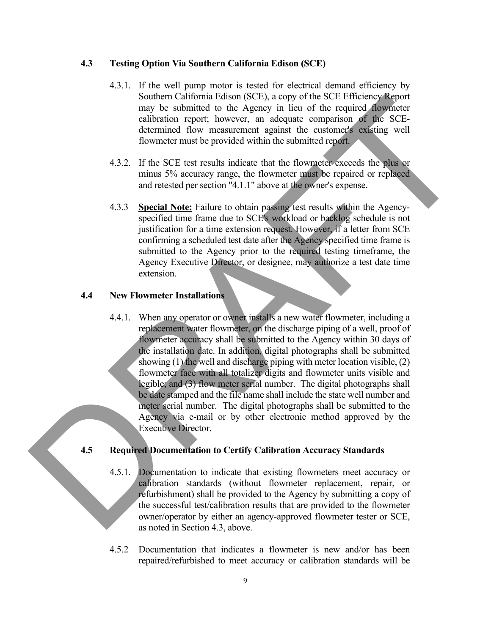### **4.3 Testing Option Via Southern California Edison (SCE)**

- 4.3.1. If the well pump motor is tested for electrical demand efficiency by Southern California Edison (SCE), a copy of the SCE Efficiency Report may be submitted to the Agency in lieu of the required flowmeter calibration report; however, an adequate comparison of the SCEdetermined flow measurement against the customer's existing well flowmeter must be provided within the submitted report.
- 4.3.2. If the SCE test results indicate that the flowmeter exceeds the plus or minus 5% accuracy range, the flowmeter must be repaired or replaced and retested per section "4.1.1" above at the owner's expense.
- 4.3.3 **Special Note:** Failure to obtain passing test results within the Agencyspecified time frame due to SCE's workload or backlog schedule is not justification for a time extension request. However, if a letter from SCE confirming a scheduled test date after the Agency specified time frame is submitted to the Agency prior to the required testing timeframe, the Agency Executive Director, or designee, may authorize a test date time extension.

## **4.4 New Flowmeter Installations**

4.4.1. When any operator or owner installs a new water flowmeter, including a replacement water flowmeter, on the discharge piping of a well, proof of flowmeter accuracy shall be submitted to the Agency within 30 days of the installation date. In addition, digital photographs shall be submitted showing (1) the well and discharge piping with meter location visible, (2) flowmeter face with all totalizer digits and flowmeter units visible and legible; and (3) flow meter serial number. The digital photographs shall be date stamped and the file name shall include the state well number and meter serial number. The digital photographs shall be submitted to the Agency via e-mail or by other electronic method approved by the Executive Director. Southern California Pelaston (SCF), a copy of the SCE Effection expectation and the Security of the contrast of the contrast of the security of the security of the security of the security of the security of the security

### **4.5 Required Documentation to Certify Calibration Accuracy Standards**

- 4.5.1. Documentation to indicate that existing flowmeters meet accuracy or calibration standards (without flowmeter replacement, repair, or refurbishment) shall be provided to the Agency by submitting a copy of the successful test/calibration results that are provided to the flowmeter owner/operator by either an agency-approved flowmeter tester or SCE, as noted in Section 4.3, above.
- 4.5.2 Documentation that indicates a flowmeter is new and/or has been repaired/refurbished to meet accuracy or calibration standards will be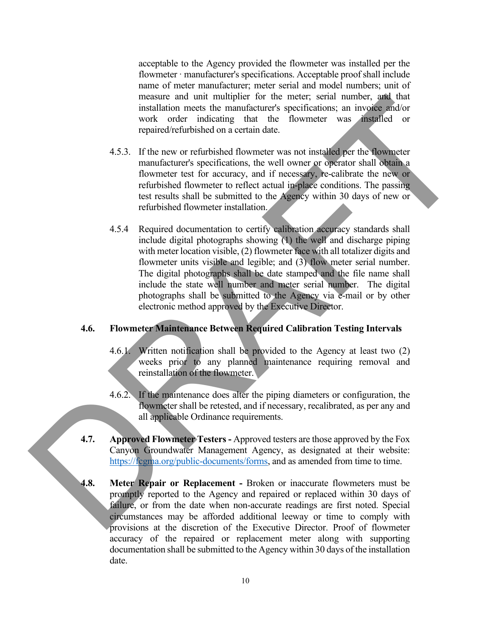acceptable to the Agency provided the flowmeter was installed per the flowmeter · manufacturer's specifications. Acceptable proof shall include name of meter manufacturer; meter serial and model numbers; unit of measure and unit multiplier for the meter; serial number, and that installation meets the manufacturer's specifications; an invoice and/or work order indicating that the flowmeter was installed or repaired/refurbished on a certain date.

- 4.5.3. If the new or refurbished flowmeter was not installed per the flowmeter manufacturer's specifications, the well owner or operator shall obtain a flowmeter test for accuracy, and if necessary, re-calibrate the new or refurbished flowmeter to reflect actual in-place conditions. The passing test results shall be submitted to the Agency within 30 days of new or refurbished flowmeter installation.
- 4.5.4 Required documentation to certify calibration accuracy standards shall include digital photographs showing (1) the well and discharge piping with meter location visible, (2) flowmeter face with all totalizer digits and flowmeter units visible and legible; and (3) flow meter serial number. The digital photographs shall be date stamped and the file name shall include the state well number and meter serial number. The digital photographs shall be submitted to the Agency via e-mail or by other electronic method approved by the Executive Director. means and unit multiplier for the metric, were all that there is specifical to the constrained on the constrained of the constrained of the constrained of the constrained of the constrained of the constrained fluorescent

### **4.6. Flowmeter Maintenance Between Required Calibration Testing Intervals**

- 4.6.1. Written notification shall be provided to the Agency at least two (2) weeks prior to any planned maintenance requiring removal and reinstallation of the flowmeter.
- 4.6.2. If the maintenance does alter the piping diameters or configuration, the flowmeter shall be retested, and if necessary, recalibrated, as per any and all applicable Ordinance requirements.
- **4.7. Approved Flowmeter Testers Approved testers are those approved by the Fox** Canyon Groundwater Management Agency, as designated at their website: https://fcgma.org/public-documents/forms, and as amended from time to time.
- **4.8. Meter Repair or Replacement** Broken or inaccurate flowmeters must be promptly reported to the Agency and repaired or replaced within 30 days of failure, or from the date when non-accurate readings are first noted. Special circumstances may be afforded additional leeway or time to comply with provisions at the discretion of the Executive Director. Proof of flowmeter accuracy of the repaired or replacement meter along with supporting documentation shall be submitted to the Agency within 30 days of the installation date.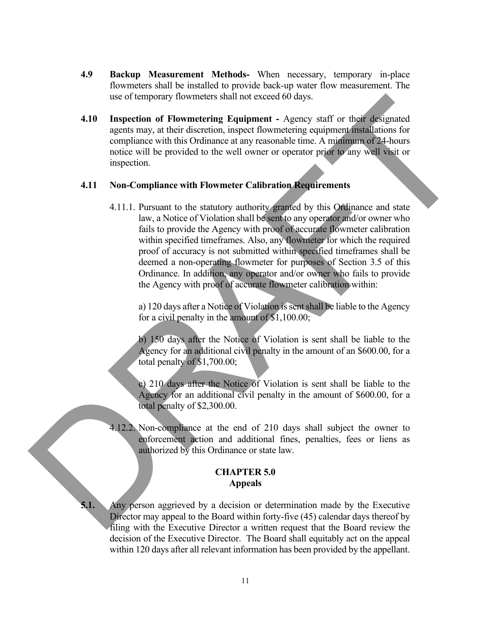- **4.9 Backup Measurement Methods-** When necessary, temporary in-place flowmeters shall be installed to provide back-up water flow measurement. The use of temporary flowmeters shall not exceed 60 days.
- **4.10 Inspection of Flowmetering Equipment** Agency staff or their designated agents may, at their discretion, inspect flowmetering equipment installations for compliance with this Ordinance at any reasonable time. A minimum of 24-hours notice will be provided to the well owner or operator prior to any well visit or inspection.

## **4.11 Non-Compliance with Flowmeter Calibration Requirements**

4.11.1. Pursuant to the statutory authority granted by this Ordinance and state law, a Notice of Violation shall be sent to any operator and/or owner who fails to provide the Agency with proof of accurate flowmeter calibration within specified timeframes. Also, any flowmeter for which the required proof of accuracy is not submitted within specified timeframes shall be deemed a non-operating flowmeter for purposes of Section 3.5 of this Ordinance. In addition, any operator and/or owner who fails to provide the Agency with proof of accurate flowmeter calibration within: use of kmposary flowmeters shall not exceed 60 days.<br> **4.10** Inspecting the more interesting the proposition of Flowmetering equipments firstal and an exceedible means at any reasonable time. A multimater of the complete

a) 120 days after a Notice of Violation is sent shall be liable to the Agency for a civil penalty in the amount of \$1,100.00;

b) 150 days after the Notice of Violation is sent shall be liable to the Agency for an additional civil penalty in the amount of an \$600.00, for a total penalty of \$1,700.00;

c) 210 days after the Notice of Violation is sent shall be liable to the Agency for an additional civil penalty in the amount of \$600.00, for a total penalty of \$2,300.00.

4.12.2. Non-compliance at the end of 210 days shall subject the owner to enforcement action and additional fines, penalties, fees or liens as authorized by this Ordinance or state law.

### **CHAPTER 5.0 Appeals**

**5.1.** Any person aggrieved by a decision or determination made by the Executive Director may appeal to the Board within forty-five (45) calendar days thereof by filing with the Executive Director a written request that the Board review the decision of the Executive Director. The Board shall equitably act on the appeal within 120 days after all relevant information has been provided by the appellant.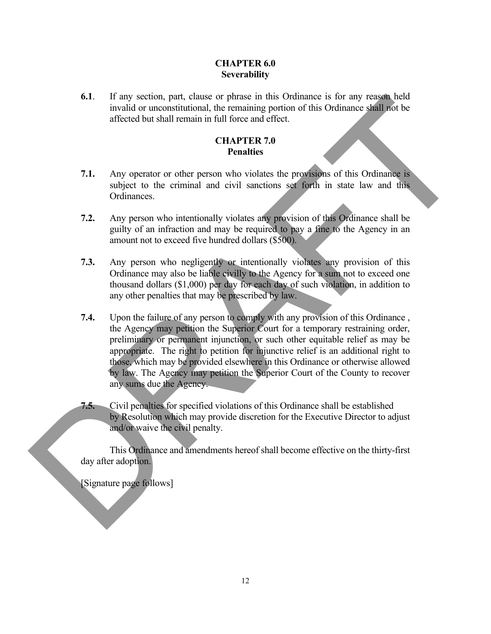## **CHAPTER 6.0 Severability**

**6.1**. If any section, part, clause or phrase in this Ordinance is for any reason held invalid or unconstitutional, the remaining portion of this Ordinance shall not be affected but shall remain in full force and effect.

# **CHAPTER 7.0 Penalties**

- **7.1.** Any operator or other person who violates the provisions of this Ordinance is subject to the criminal and civil sanctions set forth in state law and this Ordinances.
- **7.2.** Any person who intentionally violates any provision of this Ordinance shall be guilty of an infraction and may be required to pay a fine to the Agency in an amount not to exceed five hundred dollars (\$500).
- **7.3.** Any person who negligently or intentionally violates any provision of this Ordinance may also be liable civilly to the Agency for a sum not to exceed one thousand dollars (\$1,000) per day for each day of such violation, in addition to any other penalties that may be prescribed by law.
- **7.4.** Upon the failure of any person to comply with any provision of this Ordinance , the Agency may petition the Superior Court for a temporary restraining order, preliminary or permanent injunction, or such other equitable relief as may be appropriate. The right to petition for injunctive relief is an additional right to those, which may be provided elsewhere in this Ordinance or otherwise allowed by law. The Agency may petition the Superior Court of the County to recover any sums due the Agency. 6.1. If any section, part, clauses or phrase can have Ordinates for any case of the Columbus and helia Continuous state of the Columbus and the Section of the Columbus and the Columbus and the Columbus and the Columbus an
	- **7.5.** Civil penalties for specified violations of this Ordinance shall be established by Resolution which may provide discretion for the Executive Director to adjust and/or waive the civil penalty.

This Ordinance and amendments hereof shall become effective on the thirty-first day after adoption.

[Signature page follows]